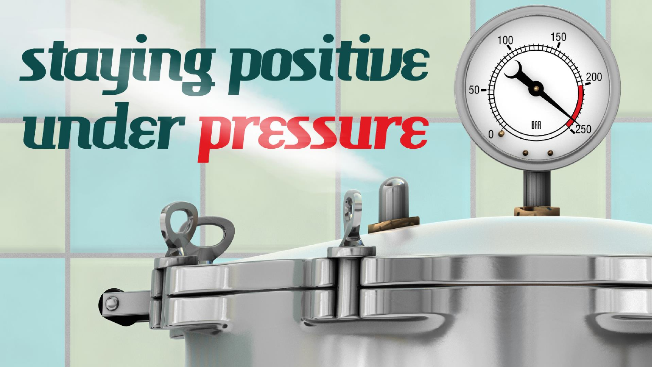# staying positive under pressure

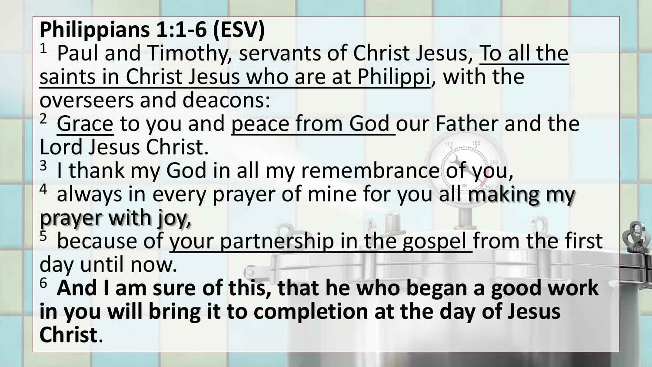#### **Philippians 1:1-6 (ESV)**

<sup>1</sup> Paul and Timothy, servants of Christ Jesus, To all the saints in Christ Jesus who are at Philippi, with the overseers and deacons:

<sup>2</sup> Grace to you and peace from God our Father and the Lord Jesus Christ.

- <sup>3</sup> I thank my God in all my remembrance of you,
- <sup>4</sup> always in every prayer of mine for you all making my prayer with joy,

<sup>5</sup> because of your partnership in the gospel from the first day until now.

<sup>6</sup> And I am sure of this, that he who began a good work **in you will bring it to completion at the day of Jesus Christ**.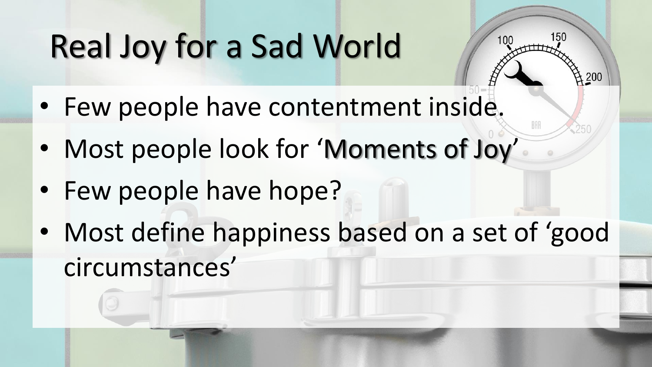### Real Joy for a Sad World

- Few people have contentment inside.
- Most people look for 'Moments of Joy'
- Few people have hope?
- Most define happiness based on a set of 'good circumstances'

150

200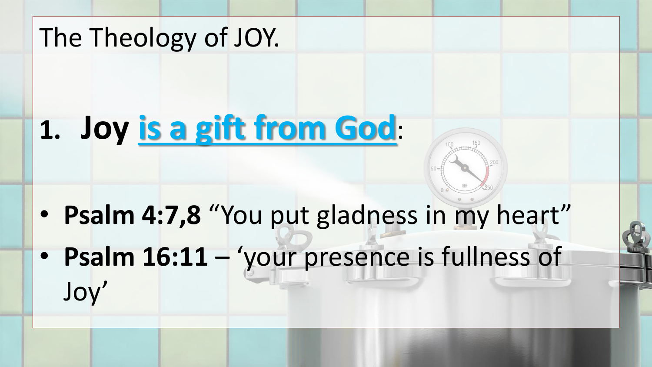# The Theology of JOY. **1. Joy is a gift from God**: • **Psalm 4:7,8** "You put gladness in my heart"

• **Psalm 16:11** – 'your presence is fullness of Joy'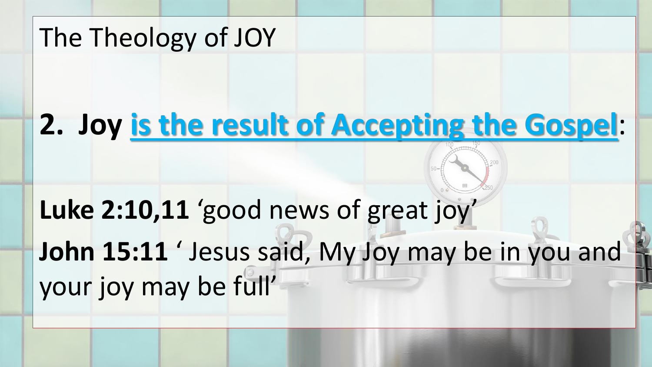#### **2. Joy is the result of Accepting the Gospel**:

**Luke 2:10,11** 'good news of great joy' **John 15:11** ' Jesus said, My Joy may be in you and your joy may be full'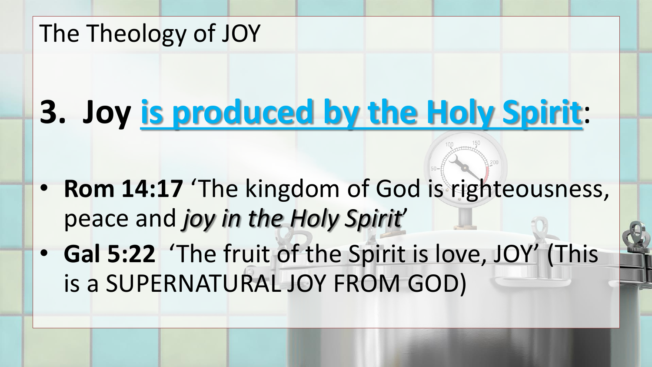### **3. Joy is produced by the Holy Spirit**:

- **Rom 14:17** 'The kingdom of God is righteousness, peace and *joy in the Holy Spirit*'
- **Gal 5:22** 'The fruit of the Spirit is love, JOY' (This is a SUPERNATURAL JOY FROM GOD)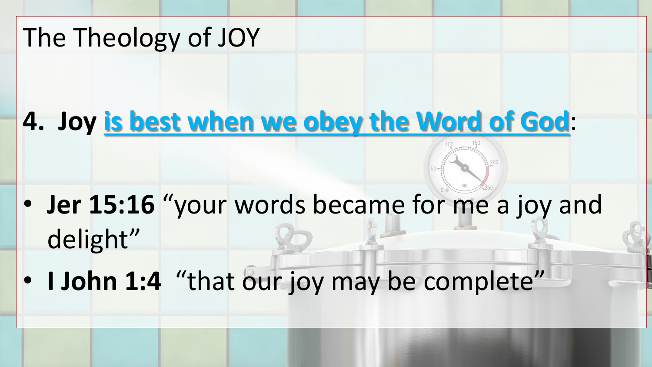#### **4. Joy is best when we obey the Word of God**:

- **Jer 15:16** "your words became for me a joy and delight"
- **I John 1:4** "that our joy may be complete"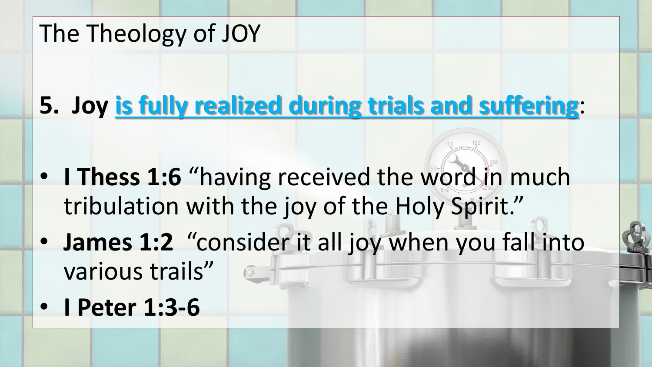#### **5. Joy is fully realized during trials and suffering**:

- **I Thess 1:6** "having received the word in much tribulation with the joy of the Holy Spirit."
- **James 1:2** "consider it all joy when you fall into various trails"
- **I Peter 1:3-6**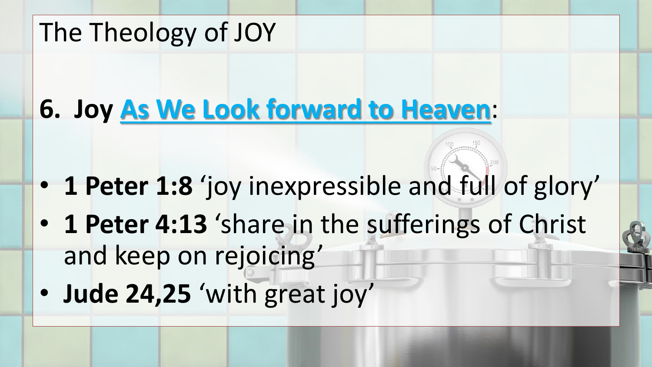#### **6. Joy As We Look forward to Heaven**:

- **1 Peter 1:8** 'joy inexpressible and full of glory'
- **1 Peter 4:13** 'share in the sufferings of Christ and keep on rejoicing'
- **Jude 24,25** 'with great joy'